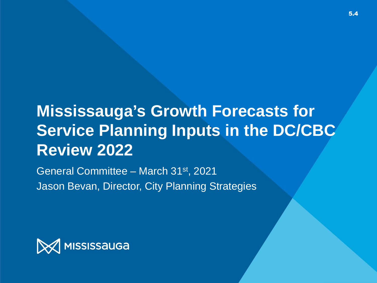## **Mississauga's Growth Forecasts for Service Planning Inputs in the DC/CBC Review 2022**

General Committee – March 31st, 2021 Jason Bevan, Director, City Planning Strategies

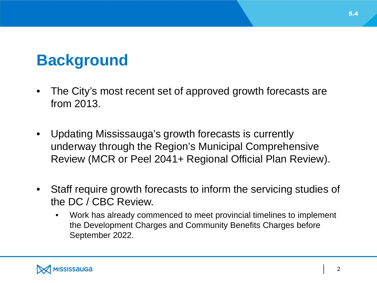## **Background**

- The City's most recent set of approved growth forecasts are from 2013.
- Updating Mississauga's growth forecasts is currently underway through the Region's Municipal Comprehensive Review (MCR or Peel 2041+ Regional Official Plan Review).
- Staff require growth forecasts to inform the servicing studies of the DC / CBC Review.
	- Work has already commenced to meet provincial timelines to implement the Development Charges and Community Benefits Charges before September 2022.

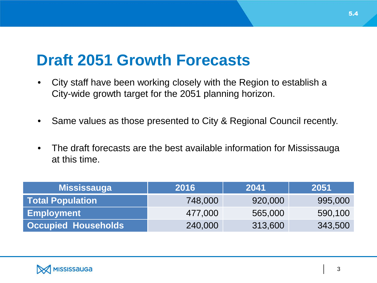## **Draft 2051 Growth Forecasts**

- City staff have been working closely with the Region to establish a City-wide growth target for the 2051 planning horizon.
- Same values as those presented to City & Regional Council recently.
- The draft forecasts are the best available information for Mississauga at this time.

| <b>Mississauga</b>         | 2016    | 2041    | 2051    |
|----------------------------|---------|---------|---------|
| <b>Total Population</b>    | 748,000 | 920,000 | 995,000 |
| <b>Employment</b>          | 477,000 | 565,000 | 590,100 |
| <b>Occupied Households</b> | 240,000 | 313,600 | 343,500 |